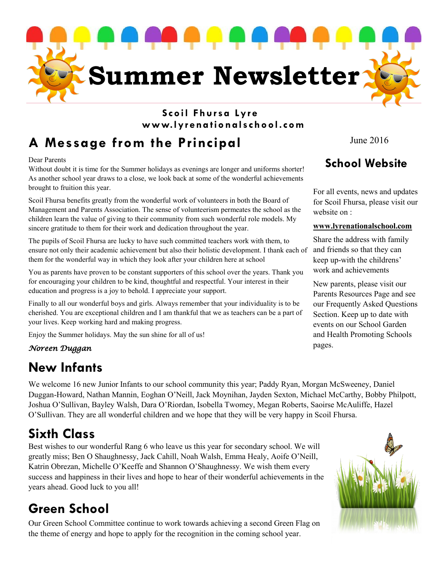

### **Scoil Fhur sa Lyr e www.lyr ena tio nalschool.com**

### **A Message from the Principal**

Dear Parents

Without doubt it is time for the Summer holidays as evenings are longer and uniforms shorter! As another school year draws to a close, we look back at some of the wonderful achievements brought to fruition this year.

Scoil Fhursa benefits greatly from the wonderful work of volunteers in both the Board of Management and Parents Association. The sense of volunteerism permeates the school as the children learn the value of giving to their community from such wonderful role models. My sincere gratitude to them for their work and dedication throughout the year.

The pupils of Scoil Fhursa are lucky to have such committed teachers work with them, to ensure not only their academic achievement but also their holistic development. I thank each of them for the wonderful way in which they look after your children here at school

You as parents have proven to be constant supporters of this school over the years. Thank you for encouraging your children to be kind, thoughtful and respectful. Your interest in their education and progress is a joy to behold. I appreciate your support.

Finally to all our wonderful boys and girls. Always remember that your individuality is to be cherished. You are exceptional children and I am thankful that we as teachers can be a part of your lives. Keep working hard and making progress.

Enjoy the Summer holidays. May the sun shine for all of us!

#### *Noreen Duggan*

### **New Infants**

We welcome 16 new Junior Infants to our school community this year; Paddy Ryan, Morgan McSweeney, Daniel Duggan-Howard, Nathan Mannin, Eoghan O'Neill, Jack Moynihan, Jayden Sexton, Michael McCarthy, Bobby Philpott, Joshua O'Sullivan, Bayley Walsh, Dara O'Riordan, Isobella Twomey, Megan Roberts, Saoirse McAuliffe, Hazel O'Sullivan. They are all wonderful children and we hope that they will be very happy in Scoil Fhursa.

### **Sixth Class**

Best wishes to our wonderful Rang 6 who leave us this year for secondary school. We will greatly miss; Ben O Shaughnessy, Jack Cahill, Noah Walsh, Emma Healy, Aoife O'Neill, Katrin Obrezan, Michelle O'Keeffe and Shannon O'Shaughnessy. We wish them every success and happiness in their lives and hope to hear of their wonderful achievements in the years ahead. Good luck to you all!

### **Green School**

Our Green School Committee continue to work towards achieving a second Green Flag on the theme of energy and hope to apply for the recognition in the coming school year.

June 2016

### **School Website**

For all events, news and updates for Scoil Fhursa, please visit our website on :

#### **www.lyrenationalschool.com**

Share the address with family and friends so that they can keep up-with the childrens' work and achievements

New parents, please visit our Parents Resources Page and see our Frequently Asked Questions Section. Keep up to date with events on our School Garden and Health Promoting Schools pages.